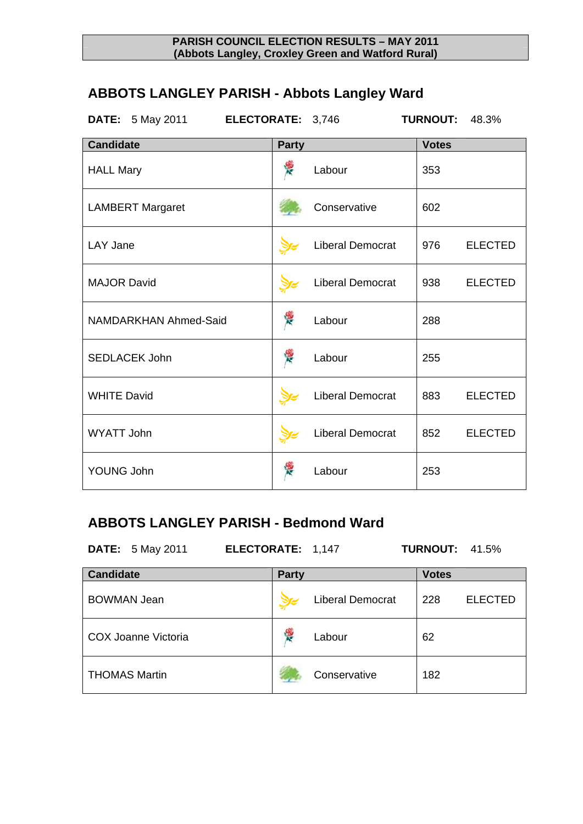# **ABBOTS LANGLEY PARISH - Abbots Langley Ward**

| <b>DATE:</b> 5 May 2011<br>ELECTORATE: 3,746 |              |                         | <b>TURNOUT:</b> | 48.3%          |
|----------------------------------------------|--------------|-------------------------|-----------------|----------------|
| <b>Candidate</b>                             | <b>Party</b> |                         | <b>Votes</b>    |                |
| <b>HALL Mary</b>                             |              | Labour                  | 353             |                |
| <b>LAMBERT Margaret</b>                      |              | Conservative            | 602             |                |
| <b>LAY Jane</b>                              |              | <b>Liberal Democrat</b> | 976             | <b>ELECTED</b> |
| <b>MAJOR David</b>                           |              | <b>Liberal Democrat</b> | 938             | <b>ELECTED</b> |
| <b>NAMDARKHAN Ahmed-Said</b>                 | 浸            | Labour                  | 288             |                |
| <b>SEDLACEK John</b>                         | Ķ            | Labour                  | 255             |                |
| <b>WHITE David</b>                           |              | <b>Liberal Democrat</b> | 883             | <b>ELECTED</b> |
| <b>WYATT John</b>                            |              | <b>Liberal Democrat</b> | 852             | <b>ELECTED</b> |
| YOUNG John                                   |              | Labour                  | 253             |                |

## **ABBOTS LANGLEY PARISH - Bedmond Ward**

**DATE:** 5 May 2011 **ELECTORATE:** 1,147 **TURNOUT:** 41.5%

| <b>Candidate</b>     | <b>Party</b>            | <b>Votes</b> |                |
|----------------------|-------------------------|--------------|----------------|
| <b>BOWMAN Jean</b>   | <b>Liberal Democrat</b> | 228          | <b>ELECTED</b> |
| COX Joanne Victoria  | 慢<br>Labour             | 62           |                |
| <b>THOMAS Martin</b> | Conservative            | 182          |                |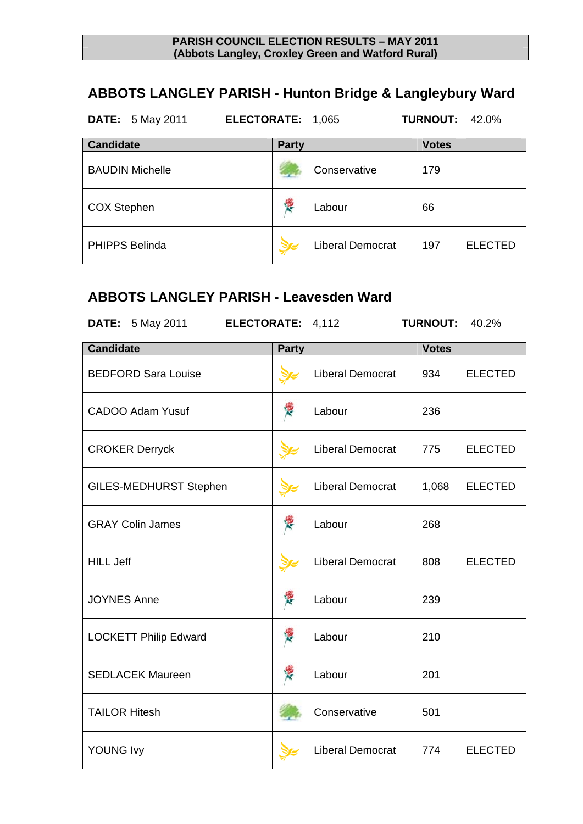# **ABBOTS LANGLEY PARISH - Hunton Bridge & Langleybury Ward**

| <b>DATE:</b> 5 May 2011 | ELECTORATE: 1,065 |                         | <b>TURNOUT: 42.0%</b> |                |
|-------------------------|-------------------|-------------------------|-----------------------|----------------|
| <b>Candidate</b>        | <b>Party</b>      |                         | <b>Votes</b>          |                |
| <b>BAUDIN Michelle</b>  |                   | Conservative            | 179                   |                |
| <b>COX Stephen</b>      | <b>RE</b>         | Labour                  | 66                    |                |
| <b>PHIPPS Belinda</b>   |                   | <b>Liberal Democrat</b> | 197                   | <b>ELECTED</b> |

## **ABBOTS LANGLEY PARISH - Leavesden Ward**

| <b>DATE:</b> 5 May 2011<br>ELECTORATE: 4,112 |              |                         | <b>TURNOUT:</b> | 40.2%          |
|----------------------------------------------|--------------|-------------------------|-----------------|----------------|
| <b>Candidate</b>                             | <b>Party</b> |                         | <b>Votes</b>    |                |
| <b>BEDFORD Sara Louise</b>                   |              | <b>Liberal Democrat</b> | 934             | <b>ELECTED</b> |
| <b>CADOO Adam Yusuf</b>                      | 釋            | Labour                  | 236             |                |
| <b>CROKER Derryck</b>                        |              | <b>Liberal Democrat</b> | 775             | <b>ELECTED</b> |
| <b>GILES-MEDHURST Stephen</b>                |              | <b>Liberal Democrat</b> | 1,068           | <b>ELECTED</b> |
| <b>GRAY Colin James</b>                      | 樱            | Labour                  | 268             |                |
| <b>HILL Jeff</b>                             |              | <b>Liberal Democrat</b> | 808             | <b>ELECTED</b> |
| <b>JOYNES Anne</b>                           | 浸            | Labour                  | 239             |                |
| <b>LOCKETT Philip Edward</b>                 | 浸            | Labour                  | 210             |                |
| <b>SEDLACEK Maureen</b>                      | 樱            | Labour                  | 201             |                |
| <b>TAILOR Hitesh</b>                         |              | Conservative            | 501             |                |
| <b>YOUNG Ivy</b>                             |              | <b>Liberal Democrat</b> | 774             | <b>ELECTED</b> |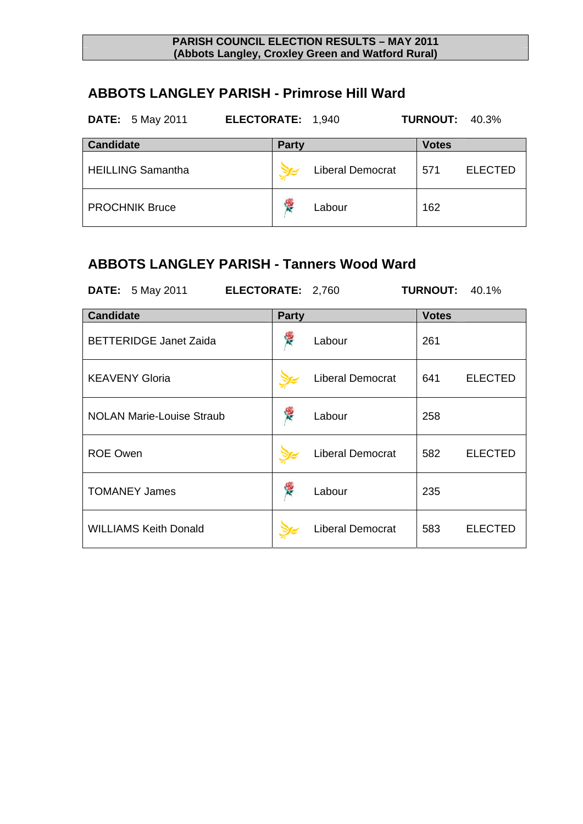### **ABBOTS LANGLEY PARISH - Primrose Hill Ward**

| <b>DATE:</b> 5 May 2011  | ELECTORATE: 1,940 |                         | <b>TURNOUT: 40.3%</b> |
|--------------------------|-------------------|-------------------------|-----------------------|
| <b>Candidate</b>         | <b>Party</b>      |                         | <b>Votes</b>          |
| <b>HEILLING Samantha</b> |                   | <b>Liberal Democrat</b> | <b>ELECTED</b><br>571 |
| <b>PROCHNIK Bruce</b>    | 慢                 | Labour                  | 162                   |

### **ABBOTS LANGLEY PARISH - Tanners Wood Ward**

**DATE:** 5 May 2011 **ELECTORATE:** 2,760 **TURNOUT:** 40.1% **Candidate Party Party Party Party Party** BETTERIDGE Janet Zaida  $\sqrt{\frac{36}{N}}$  Labour | 261 KEAVENY Gloria **Liberal Democrat** 641 ELECTED NOLAN Marie-Louise Straub **Labour** Labour 258 ROE Owen **Liberal Democrat** 582 ELECTED TOMANEY James  $\sqrt{\frac{3}{2}}$  Labour 235 WILLIAMS Keith Donald **Liberal Democrat** 583 ELECTED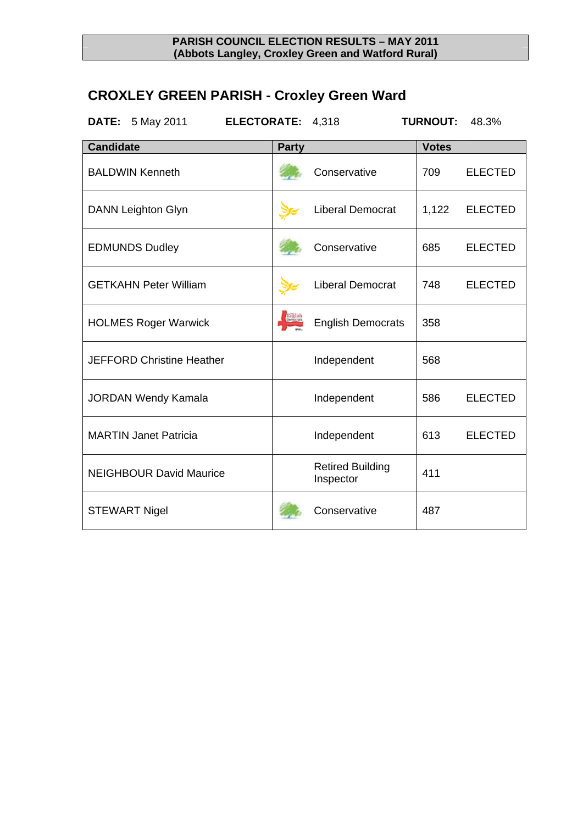# **CROXLEY GREEN PARISH - Croxley Green Ward**

| <b>DATE:</b> 5 May 2011<br>ELECTORATE: 4,318 |              |                                      | <b>TURNOUT:</b> | 48.3%          |
|----------------------------------------------|--------------|--------------------------------------|-----------------|----------------|
| <b>Candidate</b>                             | <b>Party</b> |                                      | <b>Votes</b>    |                |
| <b>BALDWIN Kenneth</b>                       |              | Conservative                         | 709             | <b>ELECTED</b> |
| <b>DANN Leighton Glyn</b>                    |              | <b>Liberal Democrat</b>              | 1,122           | <b>ELECTED</b> |
| <b>EDMUNDS Dudley</b>                        |              | Conservative                         | 685             | <b>ELECTED</b> |
| <b>GETKAHN Peter William</b>                 |              | <b>Liberal Democrat</b>              | 748             | <b>ELECTED</b> |
| <b>HOLMES Roger Warwick</b>                  |              | <b>English Democrats</b>             | 358             |                |
| <b>JEFFORD Christine Heather</b>             |              | Independent                          | 568             |                |
| <b>JORDAN Wendy Kamala</b>                   |              | Independent                          | 586             | <b>ELECTED</b> |
| <b>MARTIN Janet Patricia</b>                 |              | Independent                          | 613             | <b>ELECTED</b> |
| <b>NEIGHBOUR David Maurice</b>               |              | <b>Retired Building</b><br>Inspector | 411             |                |
| <b>STEWART Nigel</b>                         |              | Conservative                         | 487             |                |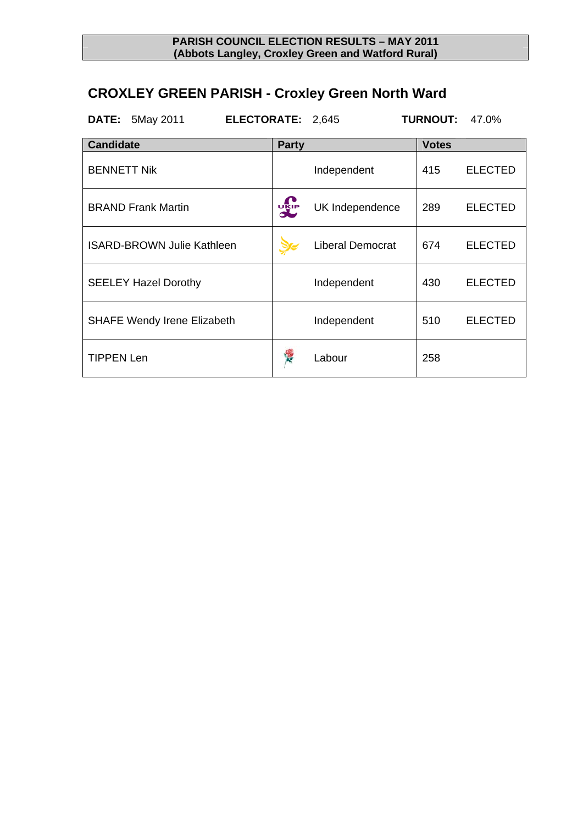# **CROXLEY GREEN PARISH - Croxley Green North Ward**

|                    | <b>DATE: 5May 2011</b>             | ELECTORATE: 2,645 |              |                         | <b>TURNOUT:</b> | 47.0%          |
|--------------------|------------------------------------|-------------------|--------------|-------------------------|-----------------|----------------|
| <b>Candidate</b>   |                                    |                   | <b>Party</b> |                         | <b>Votes</b>    |                |
| <b>BENNETT Nik</b> |                                    |                   |              | Independent             | 415             | <b>ELECTED</b> |
|                    | <b>BRAND Frank Martin</b>          |                   | <b>DRIP</b>  | UK Independence         | 289             | <b>ELECTED</b> |
|                    | <b>ISARD-BROWN Julie Kathleen</b>  |                   |              | <b>Liberal Democrat</b> | 674             | <b>ELECTED</b> |
|                    | <b>SEELEY Hazel Dorothy</b>        |                   |              | Independent             | 430             | <b>ELECTED</b> |
|                    | <b>SHAFE Wendy Irene Elizabeth</b> |                   |              | Independent             | 510             | <b>ELECTED</b> |
| <b>TIPPEN Len</b>  |                                    |                   |              | Labour                  | 258             |                |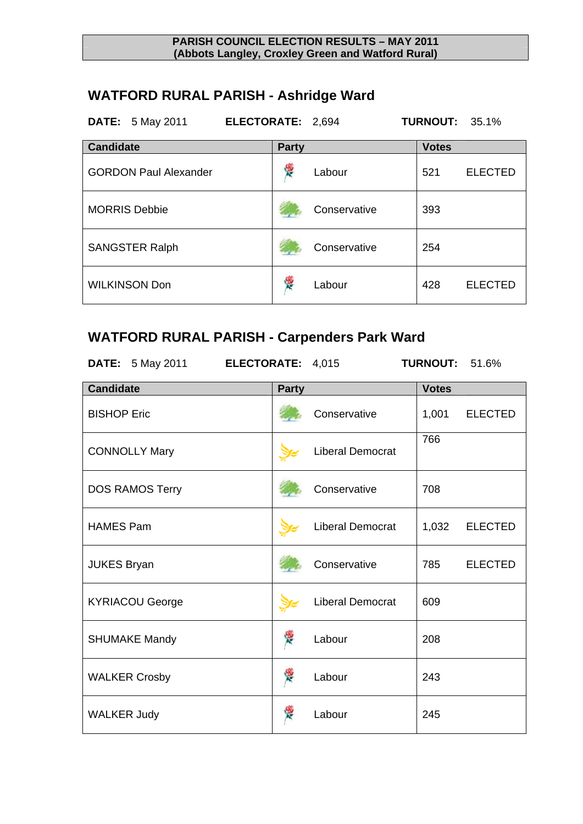# **WATFORD RURAL PARISH - Ashridge Ward**

| <b>DATE:</b> 5 May 2011      | ELECTORATE: 2,694 |              | <b>TURNOUT:</b> | 35.1%          |
|------------------------------|-------------------|--------------|-----------------|----------------|
| <b>Candidate</b>             | <b>Party</b>      |              | <b>Votes</b>    |                |
| <b>GORDON Paul Alexander</b> | Ý.                | Labour       | 521             | <b>ELECTED</b> |
| <b>MORRIS Debbie</b>         |                   | Conservative | 393             |                |
| <b>SANGSTER Ralph</b>        |                   | Conservative | 254             |                |
| <b>WILKINSON Don</b>         | Y.                | Labour       | 428             | <b>ELECTED</b> |

## **WATFORD RURAL PARISH - Carpenders Park Ward**

| DATE: 5 May 2011 <b>ELECTORATE:</b> 4,015 |              |                         | <b>TURNOUT: 51.6%</b> |                |
|-------------------------------------------|--------------|-------------------------|-----------------------|----------------|
| <b>Candidate</b>                          | <b>Party</b> |                         | <b>Votes</b>          |                |
| <b>BISHOP Eric</b>                        |              | Conservative            | 1,001                 | <b>ELECTED</b> |
| <b>CONNOLLY Mary</b>                      |              | Liberal Democrat        | 766                   |                |
| DOS RAMOS Terry                           |              | Conservative            | 708                   |                |
| <b>HAMES Pam</b>                          |              | <b>Liberal Democrat</b> | 1,032                 | <b>ELECTED</b> |
| <b>JUKES Bryan</b>                        |              | Conservative            | 785                   | <b>ELECTED</b> |
| <b>KYRIACOU George</b>                    |              | Liberal Democrat        | 609                   |                |
| <b>SHUMAKE Mandy</b>                      |              | Labour                  | 208                   |                |
| <b>WALKER Crosby</b>                      | 浸            | Labour                  | 243                   |                |
| <b>WALKER Judy</b>                        |              | Labour                  | 245                   |                |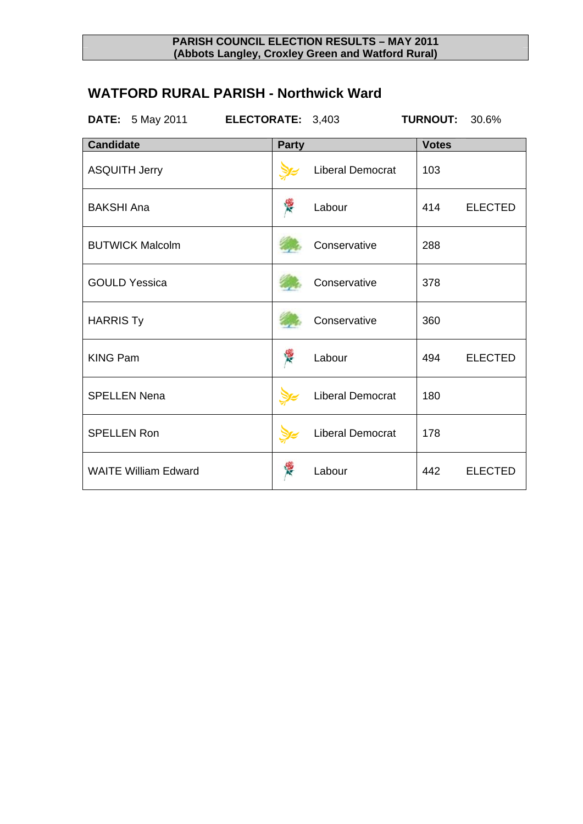## **WATFORD RURAL PARISH - Northwick Ward**

| <b>DATE:</b> 5 May 2011<br>ELECTORATE: 3,403 |              |                         | <b>TURNOUT:</b> | 30.6%          |
|----------------------------------------------|--------------|-------------------------|-----------------|----------------|
| <b>Candidate</b>                             | <b>Party</b> |                         | <b>Votes</b>    |                |
| <b>ASQUITH Jerry</b>                         |              | <b>Liberal Democrat</b> | 103             |                |
| <b>BAKSHI Ana</b>                            | 浸            | Labour                  | 414             | <b>ELECTED</b> |
| <b>BUTWICK Malcolm</b>                       |              | Conservative            | 288             |                |
| <b>GOULD Yessica</b>                         |              | Conservative            | 378             |                |
| <b>HARRIS Ty</b>                             |              | Conservative            | 360             |                |
| <b>KING Pam</b>                              | R            | Labour                  | 494             | <b>ELECTED</b> |
| <b>SPELLEN Nena</b>                          |              | <b>Liberal Democrat</b> | 180             |                |
| <b>SPELLEN Ron</b>                           |              | <b>Liberal Democrat</b> | 178             |                |
| <b>WAITE William Edward</b>                  |              | Labour                  | 442             | <b>ELECTED</b> |